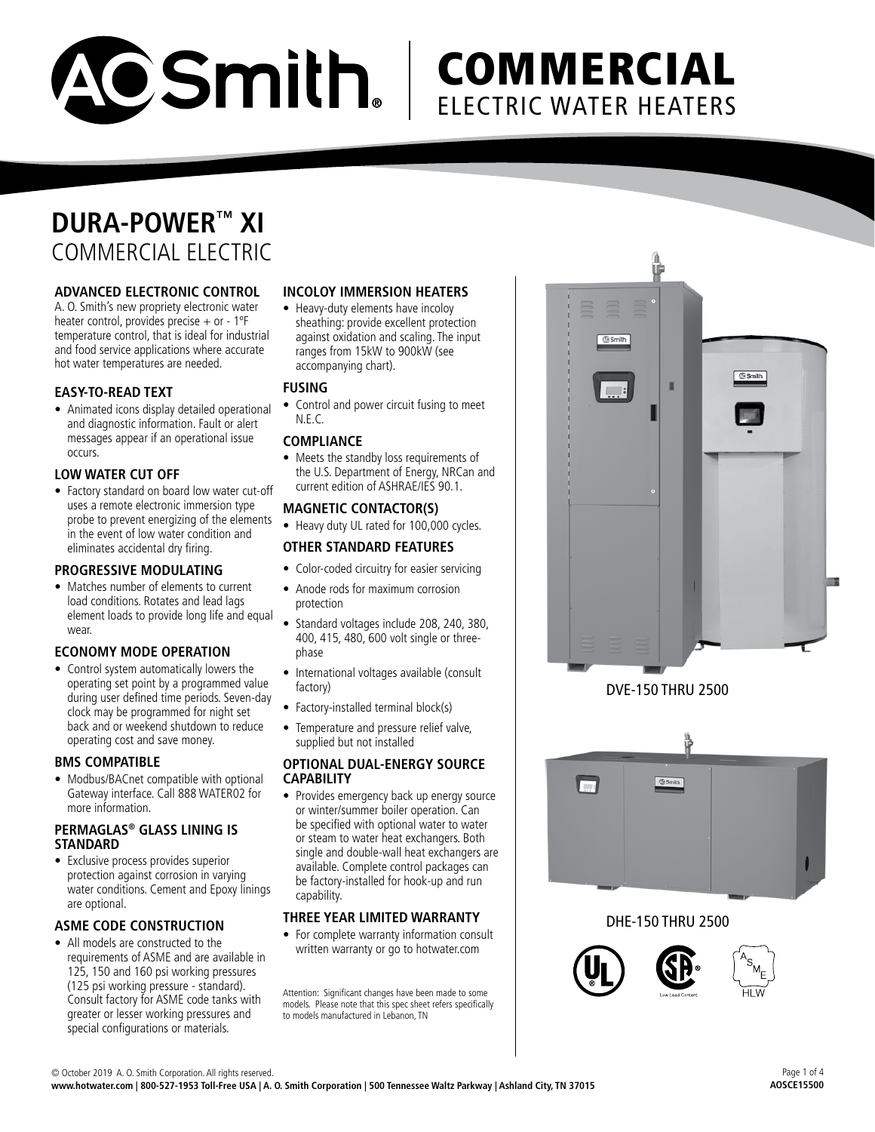

# **COMMERCIAL** ELECTRIC WATER HEATERS

## **DURA-POWER™ XI** COMMERCIAL ELECTRIC

#### **ADVANCED ELECTRONIC CONTROL**

A. O. Smith's new propriety electronic water heater control, provides precise  $+$  or - 1°F temperature control, that is ideal for industrial and food service applications where accurate hot water temperatures are needed.

#### **EASY-TO-READ TEXT**

• Animated icons display detailed operational and diagnostic information. Fault or alert messages appear if an operational issue occurs.

#### **LOW WATER CUT OFF**

• Factory standard on board low water cut-off uses a remote electronic immersion type probe to prevent energizing of the elements in the event of low water condition and eliminates accidental dry firing.

#### **PROGRESSIVE MODULATING**

• Matches number of elements to current load conditions. Rotates and lead lags element loads to provide long life and equal wear.

## **ECONOMY MODE OPERATION**

• Control system automatically lowers the operating set point by a programmed value during user defined time periods. Seven-day clock may be programmed for night set back and or weekend shutdown to reduce operating cost and save money.

#### **BMS COMPATIBLE**

• Modbus/BACnet compatible with optional Gateway interface. Call 888 WATER02 for more information.

#### **PERMAGLAS® GLASS LINING IS STANDARD**

• Exclusive process provides superior protection against corrosion in varying water conditions. Cement and Epoxy linings are optional.

#### **ASME CODE CONSTRUCTION**

• All models are constructed to the requirements of ASME and are available in 125, 150 and 160 psi working pressures (125 psi working pressure - standard). Consult factory for ASME code tanks with greater or lesser working pressures and special configurations or materials.

#### **INCOLOY IMMERSION HEATERS**

• Heavy-duty elements have incoloy sheathing: provide excellent protection against oxidation and scaling. The input ranges from 15kW to 900kW (see accompanying chart).

#### **FUSING**

• Control and power circuit fusing to meet N.E.C.

#### **COMPLIANCE**

• Meets the standby loss requirements of the U.S. Department of Energy, NRCan and current edition of ASHRAE/IES 90.1.

#### **MAGNETIC CONTACTOR(S)**

• Heavy duty UL rated for 100,000 cycles.

#### **OTHER STANDARD FEATURES**

- Color-coded circuitry for easier servicing
- Anode rods for maximum corrosion protection
- Standard voltages include 208, 240, 380, 400, 415, 480, 600 volt single or threephase
- International voltages available (consult factory)
- Factory-installed terminal block(s)
- Temperature and pressure relief valve, supplied but not installed

#### **OPTIONAL DUAL-ENERGY SOURCE CAPABILITY**

• Provides emergency back up energy source or winter/summer boiler operation. Can be specified with optional water to water or steam to water heat exchangers. Both single and double-wall heat exchangers are available. Complete control packages can be factory-installed for hook-up and run capability.

#### **THREE YEAR LIMITED WARRANTY**

• For complete warranty information consult written warranty or go to hotwater.com

Attention: Significant changes have been made to some models. Please note that this spec sheet refers specifically to models manufactured in Lebanon, TN





## DHE-150 THRU 2500

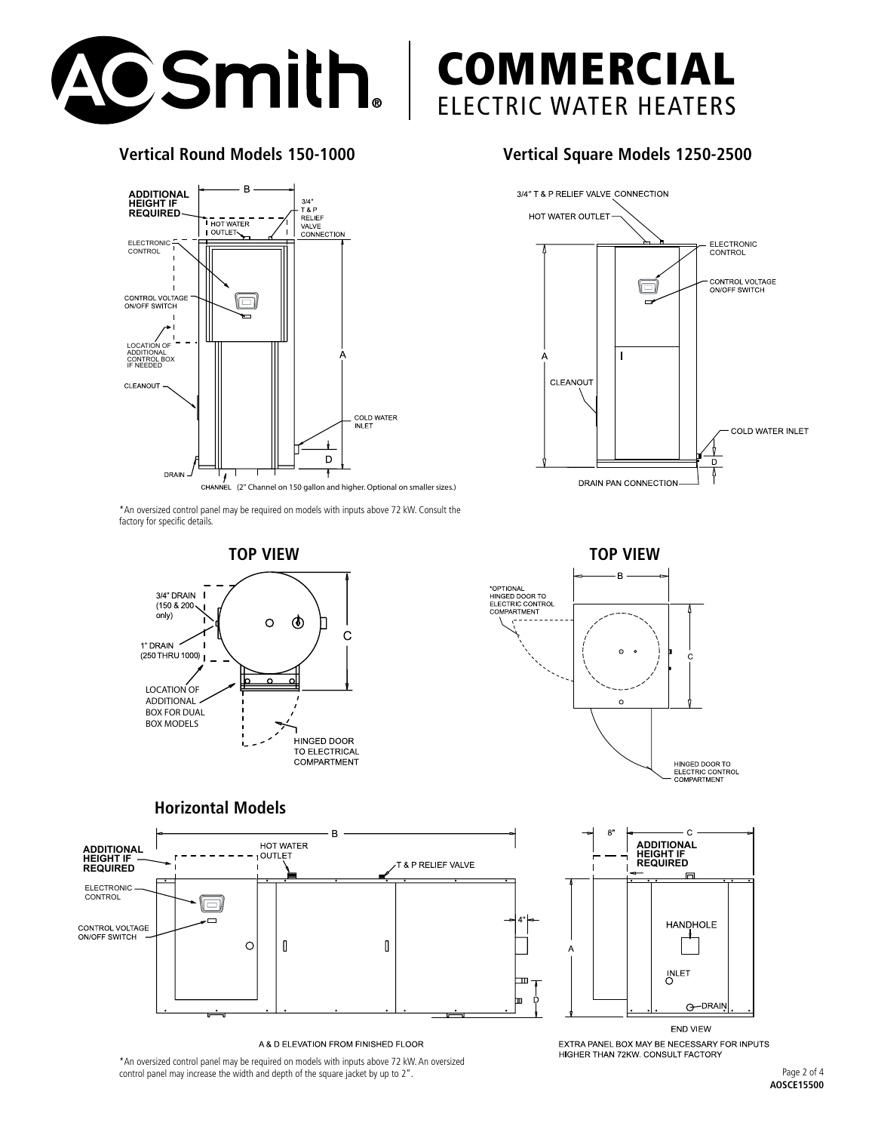

## **Vertical Round Models 150-1000**



**Vertical Square Models 1250-2500**

B

 $\circ$ 

\*OPTIONAL<br>HINGED DOOR TO<br>ELECTRIC CONTROL<br>COMPARTMENT

COMMERCIAL

ELECTRIC WATER HEATERS



\*An oversized control panel may be required on models with inputs above 72 kW. Consult the factory for specific details.



## **Horizontal Models**



A & D ELEVATION FROM FINISHED FLOOR



HINGED DOOR TO ELECTRIC CONTROL<br>COMPARTMENT

\*An oversized control panel may be required on models with inputs above 72 kW. An oversized control panel may increase the width and depth of the square jacket by up to 2".

**END VIEW** EXTRA PANEL BOX MAY BE NECESSARY FOR INPUTS HIGHER THAN 72KW. CONSULT FACTORY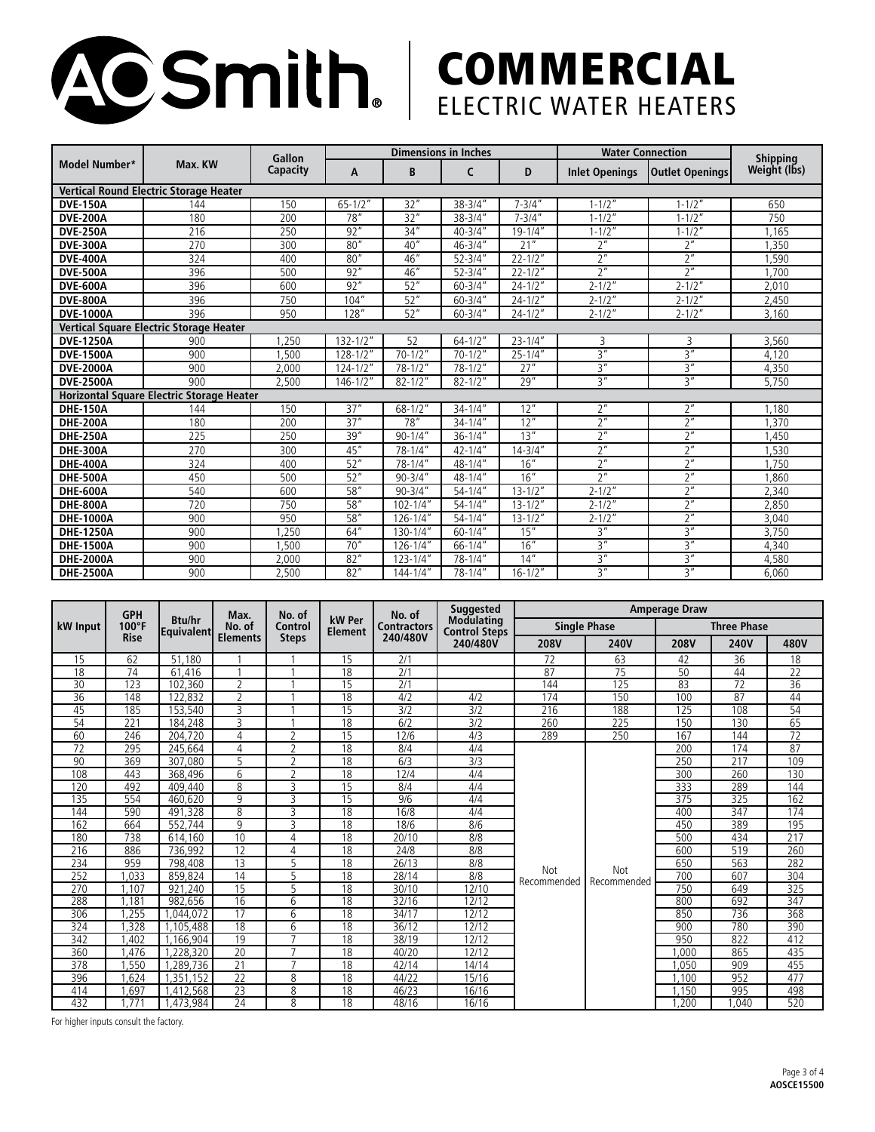

## **COMMERCIAL** ELECTRIC WATER HEATERS

|                                               | Max. KW | Gallon<br>Capacity | <b>Dimensions in Inches</b> |               |                         |                       | <b>Water Connection</b> | <b>Shipping</b>        |              |  |
|-----------------------------------------------|---------|--------------------|-----------------------------|---------------|-------------------------|-----------------------|-------------------------|------------------------|--------------|--|
| <b>Model Number*</b>                          |         |                    | A                           | B             | C                       | D                     | <b>Inlet Openings</b>   | <b>Outlet Openings</b> | Weight (lbs) |  |
| <b>Vertical Round Electric Storage Heater</b> |         |                    |                             |               |                         |                       |                         |                        |              |  |
| <b>DVE-150A</b>                               | 144     | 150                | $65 - 1/2"$                 | 32"           | $38 - 3/4$ "            | $7 - 3/4"$            | $1 - 1/2"$              | $1 - 1/2"$             | 650          |  |
| <b>DVE-200A</b>                               | 180     | 200                | 78''                        | 32"           | $38 - 3/4"$             | $7 - 3/4''$           | $1 - 1/2"$              | $1 - 1/2"$             | 750          |  |
| <b>DVE-250A</b>                               | 216     | 250                | 92"                         | 34''          | $40 - 3/4"$             | $19 - 1/4"$           | $1 - 1/2"$              | $1 - 1/2"$             | 1.165        |  |
| <b>DVE-300A</b>                               | 270     | 300                | 80"                         | 40''          | $46 - 3/4"$             | 21"                   | 2 <sup>n</sup>          | 2 <sup>n</sup>         | 1.350        |  |
| <b>DVE-400A</b>                               | 324     | 400                | 80''                        | 46"           | $52 - 3/4"$             | $22 - \overline{1/2}$ | 2 <sup>n</sup>          | 2 <sup>n</sup>         | ,590         |  |
| <b>DVE-500A</b>                               | 396     | 500                | 92"                         | 46"           | $52 - 3/4"$             | $22 - 1/2"$           | 2 <sup>n</sup>          | 2 <sup>n</sup>         | 1.700        |  |
| <b>DVE-600A</b>                               | 396     | 600                | 92"                         | 52"           | $60 - 3/4"$             | $24 - 1/2"$           | $2 - 1/2"$              | $2 - 1/2"$             | 2,010        |  |
| <b>DVE-800A</b>                               | 396     | 750                | 104''                       | 52"           | $60 - 3/4"$             | $24 - 1/2"$           | $2 - 1/2"$              | $2 - 1/2"$             | 2,450        |  |
| <b>DVE-1000A</b>                              | 396     | 950                | 128''                       | 52"           | $60 - 3/4"$             | $24 - 1/2"$           | $2 - 1/2"$              | $2 - 1/2"$             | 3,160        |  |
| Vertical Square Electric Storage Heater       |         |                    |                             |               |                         |                       |                         |                        |              |  |
| <b>DVE-1250A</b>                              | 900     | .250               | $132 - 1/2"$                | 52            | $64 - 1/2"$             | $23 - 1/4''$          | 3                       | 3                      | 3,560        |  |
| <b>DVE-1500A</b>                              | 900     | .500               | $128 - 1/2"$                | $70 - 1/2$    | $70 - 1/2"$             | $25 - 1/4"$           | 3''                     | 3''                    | 4,120        |  |
| <b>DVE-2000A</b>                              | 900     | 2.000              | $124 - 1/2"$                | $78 - 1/2"$   | $78 - 1/2"$             | 27"                   | 3''                     | 3 <sup>n</sup>         | 4,350        |  |
| <b>DVE-2500A</b>                              | 900     | 2,500              | $146 - 1/2"$                | $82 - 1/2"$   | $82 - 1/2"$             | 29''                  | $\overline{3}$ "        | $\overline{3}$ "       | 5,750        |  |
| Horizontal Square Electric Storage Heater     |         |                    |                             |               |                         |                       |                         |                        |              |  |
| <b>DHE-150A</b>                               | 144     | 150                | 37''                        | $68 - 1/2$ "  | $34 - 1/4''$            | 12"                   | 2 <sup>n</sup>          | 2 <sup>n</sup>         | 1.180        |  |
| <b>DHE-200A</b>                               | 180     | 200                | 37"                         | 78''          | $34 - 1/4$              | 12"                   | 7''                     | 2 <sup>n</sup>         | 1.370        |  |
| <b>DHE-250A</b>                               | 225     | 250                | 39"                         | $90 - 1/4"$   | $36 - 1/4$ "            | 13"                   | 2 <sup>n</sup>          | 2 <sup>n</sup>         | 1,450        |  |
| <b>DHE-300A</b>                               | 270     | 300                | 45"                         | $78 - 1/4"$   | $42 - 1/4$ "            | $14 - 3/4"$           | 2 <sup>n</sup>          | 2 <sup>n</sup>         | 1.530        |  |
| <b>DHE-400A</b>                               | 324     | 400                | 52"                         | $78 - 1/4$ "  | $48 - 1/4$ "            | 16"                   | 2 <sup>n</sup>          | 2 <sup>n</sup>         | 1.750        |  |
| <b>DHE-500A</b>                               | 450     | 500                | 52"                         | $90 - 3/4"$   | 48-1/4"                 | 16"                   | 2 <sup>n</sup>          | 2 <sup>n</sup>         | 1,860        |  |
| <b>DHE-600A</b>                               | 540     | 600                | 58''                        | $90 - 3/4"$   | $54 - 1/4$ "            | $13 - 1/2"$           | $2 - 1/2"$              | 2 <sup>n</sup>         | 2,340        |  |
| <b>DHE-800A</b>                               | 720     | 750                | 58''                        | $102 - 1/4"$  | $54 - 1/4$ "            | $13 - 1/2"$           | $2 - 1/2"$              | 2 <sup>n</sup>         | 2.850        |  |
| <b>DHE-1000A</b>                              | 900     | 950                | 58''                        | $126 - 1/4"$  | $54 - 1/4$ "            | $13 - 1/2"$           | $2 - 1/2"$              | 2 <sup>n</sup>         | 3,040        |  |
| <b>DHE-1250A</b>                              | 900     | ,250               | 64"                         | $130 - 1/4"$  | $60 - 1/4$ "            | 15"                   | 3''                     | 3''                    | 3,750        |  |
| <b>DHE-1500A</b>                              | 900     | .500               | 70''                        | $126 - 1/4''$ | $66 - 1/\overline{4''}$ | 16"                   | 3''                     | 3''                    | 4,340        |  |
| <b>DHE-2000A</b>                              | 900     | 2,000              | 82"                         | $123 - 1/4"$  | $78 - 1/4$ "            | 14"                   | $\overline{3}$ "        | $\overline{3}$ "       | 4,580        |  |
| <b>DHE-2500A</b>                              | 900     | 2,500              | 82"                         | $144 - 1/4"$  | $78 - 1/4$ "            | $16 - 1/2"$           | 3 <sup>n</sup>          | 3''                    | 6,060        |  |

| <b>kW</b> Input | <b>GPH</b><br>100°F | <b>Btu/hr</b><br> Equivalent | Max.<br>No. of<br><b>Elements</b> | No. of<br>Control<br><b>Steps</b> | kW Per<br><b>Element</b> | No. of<br><b>Contractors</b><br>240/480V | <b>Suggested</b>                          | <b>Amperage Draw</b> |                    |                    |                 |                 |  |
|-----------------|---------------------|------------------------------|-----------------------------------|-----------------------------------|--------------------------|------------------------------------------|-------------------------------------------|----------------------|--------------------|--------------------|-----------------|-----------------|--|
|                 |                     |                              |                                   |                                   |                          |                                          | <b>Modulating</b><br><b>Control Steps</b> | <b>Single Phase</b>  |                    | <b>Three Phase</b> |                 |                 |  |
|                 | <b>Rise</b>         |                              |                                   |                                   |                          |                                          | 240/480V                                  | <b>208V</b>          | <b>240V</b>        | 208V               | <b>240V</b>     | 480V            |  |
| 15              | 62                  | 51.180                       |                                   |                                   | 15                       | 2/1                                      |                                           | 72                   | 63                 | 42                 | 36              | 18              |  |
| 18              | 74                  | 61.416                       |                                   |                                   | 18                       | 2/1                                      |                                           | 87                   | 75                 | 50                 | 44              | 22              |  |
| 30              | 123                 | 102.360                      | $\overline{2}$                    |                                   | 15                       | 2/1                                      |                                           | 144                  | 125                | 83                 | $\overline{72}$ | $\overline{36}$ |  |
| 36              | 148                 | 122,832                      | $\overline{2}$                    |                                   | 18                       | 4/2                                      | 4/2                                       | 174                  | 150                | 100                | 87              | 44              |  |
| 45              | 185                 | 153,540                      | 3                                 |                                   | 15                       | 3/2                                      | 3/2                                       | 216                  | 188                | 125                | 108             | 54              |  |
| 54              | 221                 | 184.248                      | 3                                 |                                   | 18                       | 6/2                                      | 3/2                                       | 260                  | 225                | 150                | 130             | 65              |  |
| 60              | 246                 | 204.720                      | 4                                 | $\overline{2}$                    | 15                       | 12/6                                     | 4/3                                       | 289                  | 250                | 167                | 144             | 72              |  |
| $\overline{72}$ | 295                 | 245.664                      | 4                                 | $\overline{2}$                    | $\overline{18}$          | 8/4                                      | 4/4                                       |                      | Not<br>Recommended | 200                | 174             | 87              |  |
| 90              | 369                 | 307.080                      | 5                                 | $\overline{2}$                    | 18                       | 6/3                                      | 3/3                                       |                      |                    | 250                | 217             | 109             |  |
| 108             | 443                 | 368.496                      | $\overline{6}$                    | $\overline{2}$                    | 18                       | 12/4                                     | 4/4                                       |                      |                    | 300                | 260             | 130             |  |
| 120             | 492                 | 409.440                      | 8                                 | $\overline{3}$                    | 15                       | 8/4                                      | 4/4                                       |                      |                    | 333                | 289             | 144             |  |
| 135             | 554                 | 460.620                      | $\overline{9}$                    | 3                                 | $\overline{15}$          | $\overline{9/6}$                         | 4/4                                       |                      |                    | 375                | 325             | 162             |  |
| 144             | 590                 | 491,328                      | 8                                 | 3                                 | 18                       | 16/8                                     | 4/4                                       |                      |                    | 400                | 347             | 174             |  |
| 162             | 664                 | 552.744                      | 9                                 | 3                                 | 18                       | 18/6                                     | 8/6                                       |                      |                    | 450                | 389             | 195             |  |
| 180             | 738                 | 614.160                      | 10                                | 4                                 | 18                       | 20/10                                    | 8/8                                       |                      |                    | 500                | 434             | 217             |  |
| 216             | 886                 | 736,992                      | 12                                | 4                                 | 18                       | 24/8                                     | 8/8                                       |                      |                    | 600                | 519             | 260             |  |
| 234             | 959                 | 798.408                      | 13                                | 5                                 | 18                       | 26/13                                    | 8/8                                       |                      |                    | 650                | 563             | 282             |  |
| 252             | .033                | 859.824                      | 14                                | 5                                 | 18                       | 28/14                                    | 8/8                                       | Not<br>Recommended   |                    | 700                | 607             | 304             |  |
| 270             | .107                | 921.240                      | 15                                | 5                                 | 18                       | 30/10                                    | 12/10                                     |                      |                    | 750                | 649             | 325             |  |
| 288             | ,181                | 982,656                      | 16                                | 6                                 | 18                       | 32/16                                    | 12/12                                     |                      |                    | 800                | 692             | 347             |  |
| 306             | ,255                | .044.072                     | $\overline{17}$                   | 6                                 | 18                       | 34/17                                    | 12/12                                     |                      |                    | 850                | 736             | 368             |  |
| 324             | .328                | 1.105.488                    | 18                                | 6                                 | $\overline{18}$          | 36/12                                    | 12/12                                     |                      |                    | 900                | 780             | 390             |  |
| 342             | .402                | 166.904                      | 19                                | $\overline{7}$                    | 18                       | 38/19                                    | 12/12                                     |                      |                    | 950                | 822             | 412             |  |
| 360             | .476                | 228.320                      | 20                                | $\overline{7}$                    | 18                       | 40/20                                    | 12/12                                     |                      |                    | ,000               | 865             | 435             |  |
| 378             | .550                | 1.289.736                    | $\overline{21}$                   | $\overline{7}$                    | $\overline{18}$          | 42/14                                    | 14/14                                     |                      |                    | 1.050              | 909             | 455             |  |
| 396             | .624                | .351<br>.152                 | $\overline{22}$                   | 8                                 | $\overline{18}$          | 44/22                                    | 15/16                                     |                      |                    | 1.100              | 952             | 477             |  |
| 414             | .697                | .412.568                     | $\overline{23}$                   | 8                                 | 18                       | 46/23                                    | 16/16                                     |                      |                    | 1.150              | 995             | 498             |  |
| 432             | 1.771               | 1.473.984                    | 24                                | 8                                 | 18                       | 48/16                                    | 16/16                                     |                      |                    | 1.200              | 1.040           | 520             |  |

For higher inputs consult the factory.